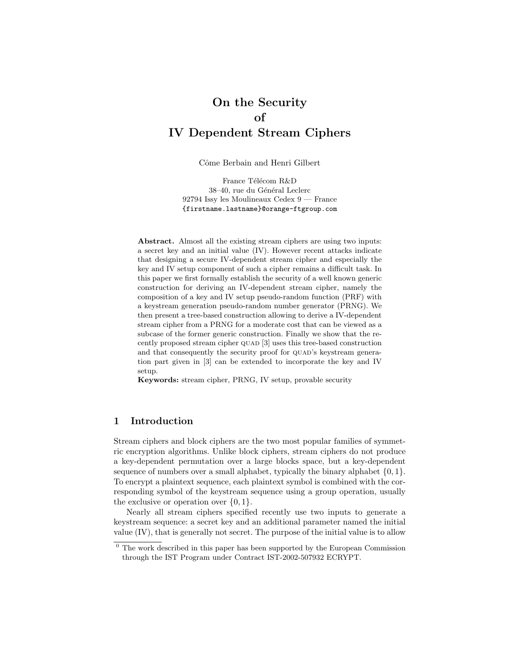# On the Security of IV Dependent Stream Ciphers

Côme Berbain and Henri Gilbert

France Télécom R&D 38-40, rue du Général Leclerc 92794 Issy les Moulineaux Cedex 9 — France {firstname.lastname}@orange-ftgroup.com

Abstract. Almost all the existing stream ciphers are using two inputs: a secret key and an initial value (IV). However recent attacks indicate that designing a secure IV-dependent stream cipher and especially the key and IV setup component of such a cipher remains a difficult task. In this paper we first formally establish the security of a well known generic construction for deriving an IV-dependent stream cipher, namely the composition of a key and IV setup pseudo-random function (PRF) with a keystream generation pseudo-random number generator (PRNG). We then present a tree-based construction allowing to derive a IV-dependent stream cipher from a PRNG for a moderate cost that can be viewed as a subcase of the former generic construction. Finally we show that the recently proposed stream cipher quad [3] uses this tree-based construction and that consequently the security proof for QUAD's keystream generation part given in [3] can be extended to incorporate the key and IV setup.

Keywords: stream cipher, PRNG, IV setup, provable security

# 1 Introduction

Stream ciphers and block ciphers are the two most popular families of symmetric encryption algorithms. Unlike block ciphers, stream ciphers do not produce a key-dependent permutation over a large blocks space, but a key-dependent sequence of numbers over a small alphabet, typically the binary alphabet  $\{0, 1\}$ . To encrypt a plaintext sequence, each plaintext symbol is combined with the corresponding symbol of the keystream sequence using a group operation, usually the exclusive or operation over  $\{0, 1\}.$ 

Nearly all stream ciphers specified recently use two inputs to generate a keystream sequence: a secret key and an additional parameter named the initial value (IV), that is generally not secret. The purpose of the initial value is to allow

 $<sup>0</sup>$  The work described in this paper has been supported by the European Commission</sup> through the IST Program under Contract IST-2002-507932 ECRYPT.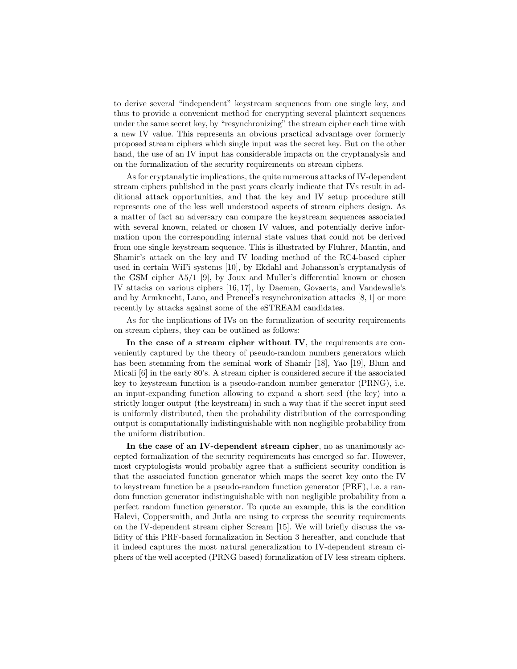to derive several "independent" keystream sequences from one single key, and thus to provide a convenient method for encrypting several plaintext sequences under the same secret key, by "resynchronizing" the stream cipher each time with a new IV value. This represents an obvious practical advantage over formerly proposed stream ciphers which single input was the secret key. But on the other hand, the use of an IV input has considerable impacts on the cryptanalysis and on the formalization of the security requirements on stream ciphers.

As for cryptanalytic implications, the quite numerous attacks of IV-dependent stream ciphers published in the past years clearly indicate that IVs result in additional attack opportunities, and that the key and IV setup procedure still represents one of the less well understood aspects of stream ciphers design. As a matter of fact an adversary can compare the keystream sequences associated with several known, related or chosen IV values, and potentially derive information upon the corresponding internal state values that could not be derived from one single keystream sequence. This is illustrated by Fluhrer, Mantin, and Shamir's attack on the key and IV loading method of the RC4-based cipher used in certain WiFi systems [10], by Ekdahl and Johansson's cryptanalysis of the GSM cipher A5/1 [9], by Joux and Muller's differential known or chosen IV attacks on various ciphers [16, 17], by Daemen, Govaerts, and Vandewalle's and by Armknecht, Lano, and Preneel's resynchronization attacks [8, 1] or more recently by attacks against some of the eSTREAM candidates.

As for the implications of IVs on the formalization of security requirements on stream ciphers, they can be outlined as follows:

In the case of a stream cipher without IV, the requirements are conveniently captured by the theory of pseudo-random numbers generators which has been stemming from the seminal work of Shamir [18], Yao [19], Blum and Micali [6] in the early 80's. A stream cipher is considered secure if the associated key to keystream function is a pseudo-random number generator (PRNG), i.e. an input-expanding function allowing to expand a short seed (the key) into a strictly longer output (the keystream) in such a way that if the secret input seed is uniformly distributed, then the probability distribution of the corresponding output is computationally indistinguishable with non negligible probability from the uniform distribution.

In the case of an IV-dependent stream cipher, no as unanimously accepted formalization of the security requirements has emerged so far. However, most cryptologists would probably agree that a sufficient security condition is that the associated function generator which maps the secret key onto the IV to keystream function be a pseudo-random function generator (PRF), i.e. a random function generator indistinguishable with non negligible probability from a perfect random function generator. To quote an example, this is the condition Halevi, Coppersmith, and Jutla are using to express the security requirements on the IV-dependent stream cipher Scream [15]. We will briefly discuss the validity of this PRF-based formalization in Section 3 hereafter, and conclude that it indeed captures the most natural generalization to IV-dependent stream ciphers of the well accepted (PRNG based) formalization of IV less stream ciphers.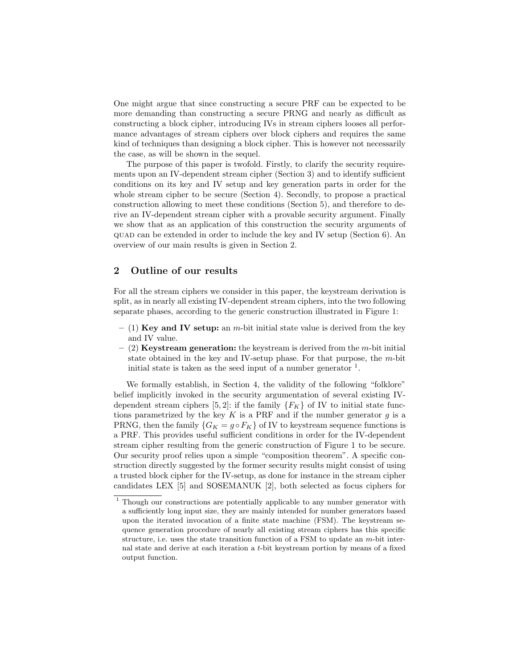One might argue that since constructing a secure PRF can be expected to be more demanding than constructing a secure PRNG and nearly as difficult as constructing a block cipher, introducing IVs in stream ciphers looses all performance advantages of stream ciphers over block ciphers and requires the same kind of techniques than designing a block cipher. This is however not necessarily the case, as will be shown in the sequel.

The purpose of this paper is twofold. Firstly, to clarify the security requirements upon an IV-dependent stream cipher (Section 3) and to identify sufficient conditions on its key and IV setup and key generation parts in order for the whole stream cipher to be secure (Section 4). Secondly, to propose a practical construction allowing to meet these conditions (Section 5), and therefore to derive an IV-dependent stream cipher with a provable security argument. Finally we show that as an application of this construction the security arguments of quad can be extended in order to include the key and IV setup (Section 6). An overview of our main results is given in Section 2.

# 2 Outline of our results

For all the stream ciphers we consider in this paper, the keystream derivation is split, as in nearly all existing IV-dependent stream ciphers, into the two following separate phases, according to the generic construction illustrated in Figure 1:

- (1) Key and IV setup: an m-bit initial state value is derived from the key and IV value.
- (2) **Keystream generation:** the keystream is derived from the  $m$ -bit initial state obtained in the key and IV-setup phase. For that purpose, the m-bit initial state is taken as the seed input of a number generator  $<sup>1</sup>$ .</sup>

We formally establish, in Section 4, the validity of the following "folklore" belief implicitly invoked in the security argumentation of several existing IVdependent stream ciphers [5, 2]: if the family  ${F<sub>K</sub>}$  of IV to initial state functions parametrized by the key  $K$  is a PRF and if the number generator  $g$  is a PRNG, then the family  ${G_K = g \circ F_K}$  of IV to keystream sequence functions is a PRF. This provides useful sufficient conditions in order for the IV-dependent stream cipher resulting from the generic construction of Figure 1 to be secure. Our security proof relies upon a simple "composition theorem". A specific construction directly suggested by the former security results might consist of using a trusted block cipher for the IV-setup, as done for instance in the stream cipher candidates LEX [5] and SOSEMANUK [2], both selected as focus ciphers for

<sup>&</sup>lt;sup>1</sup> Though our constructions are potentially applicable to any number generator with a sufficiently long input size, they are mainly intended for number generators based upon the iterated invocation of a finite state machine (FSM). The keystream sequence generation procedure of nearly all existing stream ciphers has this specific structure, i.e. uses the state transition function of a FSM to update an  $m$ -bit internal state and derive at each iteration a t-bit keystream portion by means of a fixed output function.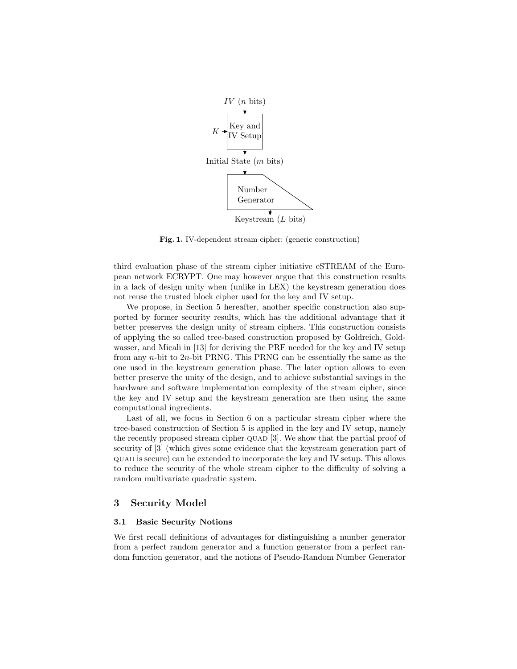

Fig. 1. IV-dependent stream cipher: (generic construction)

third evaluation phase of the stream cipher initiative eSTREAM of the European network ECRYPT. One may however argue that this construction results in a lack of design unity when (unlike in LEX) the keystream generation does not reuse the trusted block cipher used for the key and IV setup.

We propose, in Section 5 hereafter, another specific construction also supported by former security results, which has the additional advantage that it better preserves the design unity of stream ciphers. This construction consists of applying the so called tree-based construction proposed by Goldreich, Goldwasser, and Micali in [13] for deriving the PRF needed for the key and IV setup from any  $n$ -bit to  $2n$ -bit PRNG. This PRNG can be essentially the same as the one used in the keystream generation phase. The later option allows to even better preserve the unity of the design, and to achieve substantial savings in the hardware and software implementation complexity of the stream cipher, since the key and IV setup and the keystream generation are then using the same computational ingredients.

Last of all, we focus in Section 6 on a particular stream cipher where the tree-based construction of Section 5 is applied in the key and IV setup, namely the recently proposed stream cipher QUAD [3]. We show that the partial proof of security of [3] (which gives some evidence that the keystream generation part of quad is secure) can be extended to incorporate the key and IV setup. This allows to reduce the security of the whole stream cipher to the difficulty of solving a random multivariate quadratic system.

## 3 Security Model

#### 3.1 Basic Security Notions

We first recall definitions of advantages for distinguishing a number generator from a perfect random generator and a function generator from a perfect random function generator, and the notions of Pseudo-Random Number Generator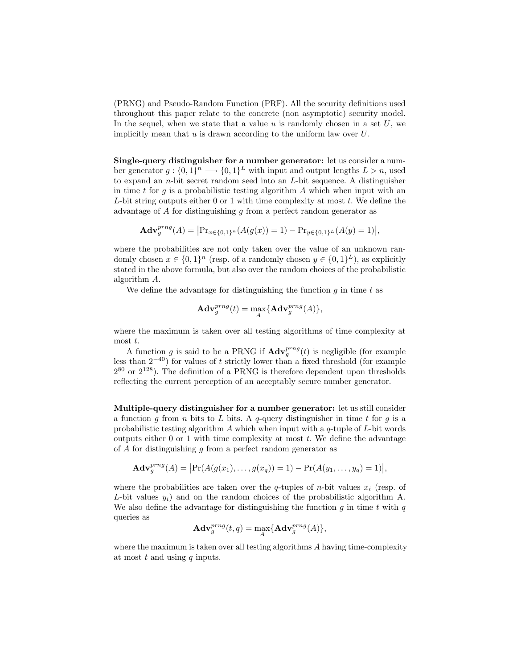(PRNG) and Pseudo-Random Function (PRF). All the security definitions used throughout this paper relate to the concrete (non asymptotic) security model. In the sequel, when we state that a value  $u$  is randomly chosen in a set  $U$ , we implicitly mean that  $u$  is drawn according to the uniform law over  $U$ .

Single-query distinguisher for a number generator: let us consider a number generator  $g: \{0,1\}^n \longrightarrow \{0,1\}^L$  with input and output lengths  $L > n$ , used to expand an  $n$ -bit secret random seed into an  $L$ -bit sequence. A distinguisher in time t for  $g$  is a probabilistic testing algorithm  $A$  which when input with an L-bit string outputs either 0 or 1 with time complexity at most  $t$ . We define the advantage of  $A$  for distinguishing  $g$  from a perfect random generator as

$$
\mathbf{Adv}_{g}^{prng}(A) = \left| \Pr_{x \in \{0,1\}^n} (A(g(x))) = 1) - \Pr_{y \in \{0,1\}^L} (A(y) = 1) \right|,
$$

where the probabilities are not only taken over the value of an unknown randomly chosen  $x \in \{0,1\}^n$  (resp. of a randomly chosen  $y \in \{0,1\}^L$ ), as explicitly stated in the above formula, but also over the random choices of the probabilistic algorithm A.

We define the advantage for distinguishing the function  $q$  in time  $t$  as

$$
\mathbf{Adv}_{g}^{prng}(t) = \max_{A} \{ \mathbf{Adv}_{g}^{prng}(A) \},
$$

where the maximum is taken over all testing algorithms of time complexity at most t.

A function g is said to be a PRNG if  $\mathbf{Adv}_{g}^{prng}(t)$  is negligible (for example less than  $2^{-40}$ ) for values of t strictly lower than a fixed threshold (for example  $2^{80}$  or  $2^{128}$ ). The definition of a PRNG is therefore dependent upon thresholds reflecting the current perception of an acceptably secure number generator.

Multiple-query distinguisher for a number generator: let us still consider a function g from n bits to L bits. A q-query distinguisher in time t for g is a probabilistic testing algorithm A which when input with a  $q$ -tuple of  $L$ -bit words outputs either  $0$  or  $1$  with time complexity at most  $t$ . We define the advantage of  $A$  for distinguishing  $g$  from a perfect random generator as

$$
\mathbf{Adv}_{g}^{prng}(A) = |\Pr(A(g(x_1),...,g(x_q)) = 1) - \Pr(A(y_1,...,y_q) = 1)|,
$$

where the probabilities are taken over the q-tuples of n-bit values  $x_i$  (resp. of L-bit values  $y_i$ ) and on the random choices of the probabilistic algorithm A. We also define the advantage for distinguishing the function  $q$  in time t with  $q$ queries as

$$
\mathbf{Adv}_{g}^{prng}(t,q) = \max_{A} \{ \mathbf{Adv}_{g}^{prng}(A) \},
$$

where the maximum is taken over all testing algorithms A having time-complexity at most  $t$  and using  $q$  inputs.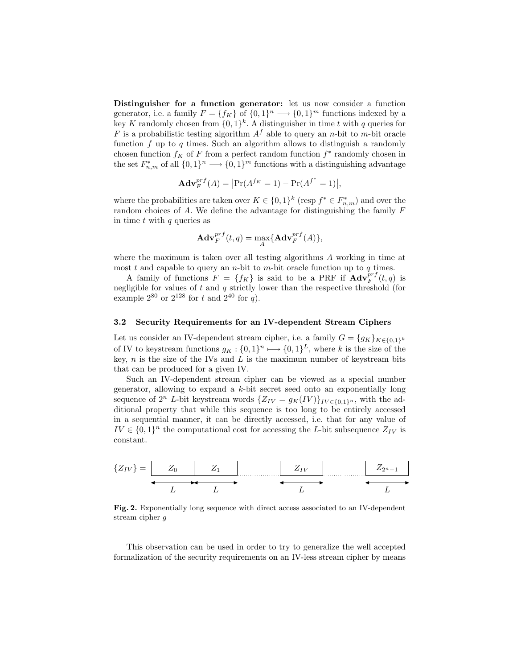Distinguisher for a function generator: let us now consider a function generator, i.e. a family  $F = \{f_K\}$  of  $\{0, 1\}^n \longrightarrow \{0, 1\}^m$  functions indexed by a key K randomly chosen from  $\{0,1\}^k$ . A distinguisher in time t with q queries for F is a probabilistic testing algorithm  $A<sup>f</sup>$  able to query an *n*-bit to *m*-bit oracle function  $f$  up to  $q$  times. Such an algorithm allows to distinguish a randomly chosen function  $f_K$  of F from a perfect random function  $f^*$  randomly chosen in the set  $F_{n,m}^*$  of all  $\{0,1\}^n \longrightarrow \{0,1\}^m$  functions with a distinguishing advantage

$$
\mathbf{Adv}_{F}^{prf}(A) = \left| \Pr(A^{f_{K}} = 1) - \Pr(A^{f^{*}} = 1) \right|,
$$

where the probabilities are taken over  $K \in \{0,1\}^k$  (resp  $f^* \in F^*_{n,m}$ ) and over the random choices of  $A$ . We define the advantage for distinguishing the family  $F$ in time  $t$  with  $q$  queries as

$$
\mathbf{Adv}_{F}^{prf}(t,q) = \max_{A} \{ \mathbf{Adv}_{F}^{prf}(A) \},
$$

where the maximum is taken over all testing algorithms A working in time at most  $t$  and capable to query an *n*-bit to *m*-bit oracle function up to  $q$  times.

A family of functions  $F = \{f_K\}$  is said to be a PRF if  $\mathbf{Adv}_{F}^{prf}(t,q)$  is negligible for values of  $t$  and  $q$  strictly lower than the respective threshold (for example  $2^{80}$  or  $2^{128}$  for t and  $2^{40}$  for q).

## 3.2 Security Requirements for an IV-dependent Stream Ciphers

Let us consider an IV-dependent stream cipher, i.e. a family  $G = \{g_K\}_{K \in \{0,1\}^k}$ of IV to keystream functions  $g_K: \{0,1\}^n \longmapsto \{0,1\}^L$ , where k is the size of the key,  $n$  is the size of the IVs and  $L$  is the maximum number of keystream bits that can be produced for a given IV.

Such an IV-dependent stream cipher can be viewed as a special number generator, allowing to expand a  $k$ -bit secret seed onto an exponentially long sequence of  $2^n$  L-bit keystream words  $\{Z_{IV} = g_K(V)\}_{IV \in \{0,1\}^n}$ , with the additional property that while this sequence is too long to be entirely accessed in a sequential manner, it can be directly accessed, i.e. that for any value of  $IV \in \{0,1\}^n$  the computational cost for accessing the L-bit subsequence  $Z_{IV}$  is constant.

$$
\{Z_{IV}\} = \begin{array}{c|c|c|c|c} Z_0 & Z_1 & & Z_{IV} & & Z_{2^n-1} \\ \hline L & L & & L & & L \end{array}
$$

Fig. 2. Exponentially long sequence with direct access associated to an IV-dependent stream cipher g

This observation can be used in order to try to generalize the well accepted formalization of the security requirements on an IV-less stream cipher by means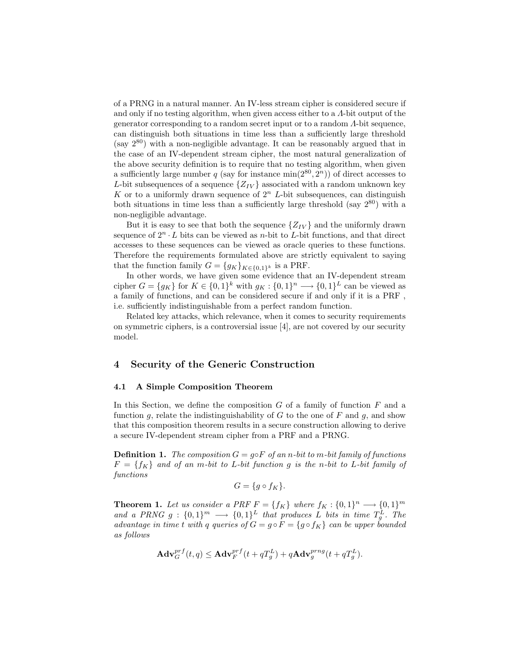of a PRNG in a natural manner. An IV-less stream cipher is considered secure if and only if no testing algorithm, when given access either to a  $\Lambda$ -bit output of the generator corresponding to a random secret input or to a random Λ-bit sequence, can distinguish both situations in time less than a sufficiently large threshold (say  $2^{80}$ ) with a non-negligible advantage. It can be reasonably argued that in the case of an IV-dependent stream cipher, the most natural generalization of the above security definition is to require that no testing algorithm, when given a sufficiently large number q (say for instance  $\min(2^{80}, 2^n)$ ) of direct accesses to L-bit subsequences of a sequence  $\{Z_{IV}\}\$ associated with a random unknown key K or to a uniformly drawn sequence of  $2<sup>n</sup> L$ -bit subsequences, can distinguish both situations in time less than a sufficiently large threshold (say  $2^{80}$ ) with a non-negligible advantage.

But it is easy to see that both the sequence  $\{Z_{IV}\}$  and the uniformly drawn sequence of  $2^n \cdot L$  bits can be viewed as *n*-bit to *L*-bit functions, and that direct accesses to these sequences can be viewed as oracle queries to these functions. Therefore the requirements formulated above are strictly equivalent to saying that the function family  $G = \{g_K\}_{K \in \{0,1\}^k}$  is a PRF.

In other words, we have given some evidence that an IV-dependent stream cipher  $G = \{g_K\}$  for  $K \in \{0,1\}^k$  with  $g_K : \{0,1\}^n \longrightarrow \{0,1\}^L$  can be viewed as a family of functions, and can be considered secure if and only if it is a PRF , i.e. sufficiently indistinguishable from a perfect random function.

Related key attacks, which relevance, when it comes to security requirements on symmetric ciphers, is a controversial issue [4], are not covered by our security model.

## 4 Security of the Generic Construction

#### 4.1 A Simple Composition Theorem

In this Section, we define the composition  $G$  of a family of function  $F$  and a function g, relate the indistinguishability of  $G$  to the one of  $F$  and  $g$ , and show that this composition theorem results in a secure construction allowing to derive a secure IV-dependent stream cipher from a PRF and a PRNG.

**Definition 1.** The composition  $G = g \circ F$  of an n-bit to m-bit family of functions  $F = \{f_K\}$  and of an m-bit to L-bit function g is the n-bit to L-bit family of functions

$$
G = \{ g \circ f_K \}.
$$

**Theorem 1.** Let us consider a PRF  $F = \{f_K\}$  where  $f_K : \{0,1\}^n \longrightarrow \{0,1\}^m$ and a PRNG  $g: \{0,1\}^m \longrightarrow \{0,1\}^L$  that produces L bits in time  $T_g^L$ . The advantage in time t with q queries of  $G = g \circ F = \{g \circ f_K\}$  can be upper bounded as follows

$$
\mathbf{Adv}_{G}^{prf}(t,q) \leq \mathbf{Adv}_{F}^{prf}(t+qT_g^L) + q\mathbf{Adv}_{g}^{prng}(t+qT_g^L).
$$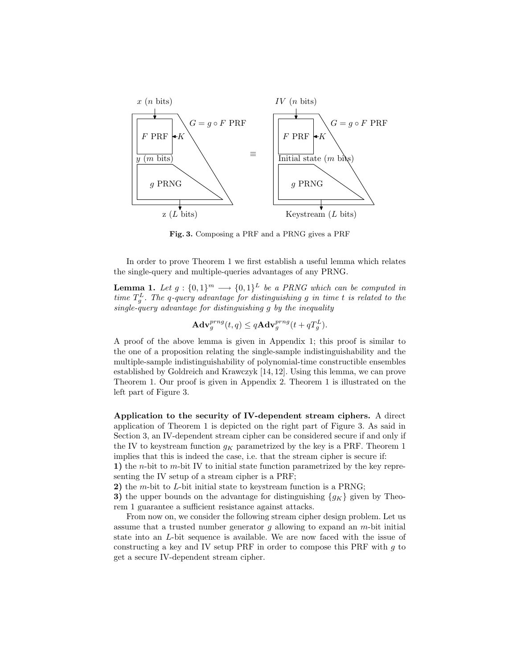

Fig. 3. Composing a PRF and a PRNG gives a PRF

In order to prove Theorem 1 we first establish a useful lemma which relates the single-query and multiple-queries advantages of any PRNG.

**Lemma 1.** Let  $g: \{0,1\}^m \longrightarrow \{0,1\}^L$  be a PRNG which can be computed in time  $T_g^L$ . The q-query advantage for distinguishing g in time t is related to the single-query advantage for distinguishing g by the inequality

$$
\mathbf{Adv}_{g}^{prng}(t,q) \leq q\mathbf{Adv}_{g}^{prng}(t+qT_{g}^{L}).
$$

A proof of the above lemma is given in Appendix 1; this proof is similar to the one of a proposition relating the single-sample indistinguishability and the multiple-sample indistinguishability of polynomial-time constructible ensembles established by Goldreich and Krawczyk [14, 12]. Using this lemma, we can prove Theorem 1. Our proof is given in Appendix 2. Theorem 1 is illustrated on the left part of Figure 3.

Application to the security of IV-dependent stream ciphers. A direct application of Theorem 1 is depicted on the right part of Figure 3. As said in Section 3, an IV-dependent stream cipher can be considered secure if and only if the IV to keystream function  $g_K$  parametrized by the key is a PRF. Theorem 1 implies that this is indeed the case, i.e. that the stream cipher is secure if:

1) the n-bit to m-bit IV to initial state function parametrized by the key representing the IV setup of a stream cipher is a PRF;

2) the m-bit to L-bit initial state to keystream function is a PRNG;

3) the upper bounds on the advantage for distinguishing  ${g<sub>K</sub>}$  given by Theorem 1 guarantee a sufficient resistance against attacks.

From now on, we consider the following stream cipher design problem. Let us assume that a trusted number generator  $g$  allowing to expand an  $m$ -bit initial state into an L-bit sequence is available. We are now faced with the issue of constructing a key and IV setup PRF in order to compose this PRF with  $g$  to get a secure IV-dependent stream cipher.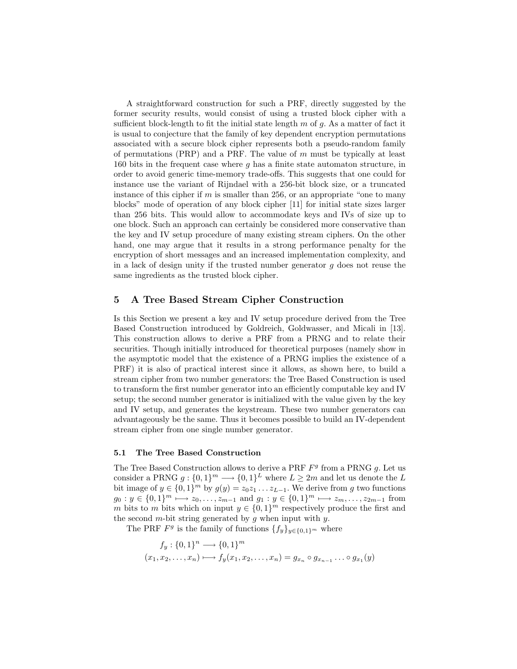A straightforward construction for such a PRF, directly suggested by the former security results, would consist of using a trusted block cipher with a sufficient block-length to fit the initial state length  $m$  of  $g$ . As a matter of fact it is usual to conjecture that the family of key dependent encryption permutations associated with a secure block cipher represents both a pseudo-random family of permutations (PRP) and a PRF. The value of  $m$  must be typically at least 160 bits in the frequent case where g has a finite state automaton structure, in order to avoid generic time-memory trade-offs. This suggests that one could for instance use the variant of Rijndael with a 256-bit block size, or a truncated instance of this cipher if  $m$  is smaller than 256, or an appropriate "one to many blocks" mode of operation of any block cipher [11] for initial state sizes larger than 256 bits. This would allow to accommodate keys and IVs of size up to one block. Such an approach can certainly be considered more conservative than the key and IV setup procedure of many existing stream ciphers. On the other hand, one may argue that it results in a strong performance penalty for the encryption of short messages and an increased implementation complexity, and in a lack of design unity if the trusted number generator  $g$  does not reuse the same ingredients as the trusted block cipher.

## 5 A Tree Based Stream Cipher Construction

Is this Section we present a key and IV setup procedure derived from the Tree Based Construction introduced by Goldreich, Goldwasser, and Micali in [13]. This construction allows to derive a PRF from a PRNG and to relate their securities. Though initially introduced for theoretical purposes (namely show in the asymptotic model that the existence of a PRNG implies the existence of a PRF) it is also of practical interest since it allows, as shown here, to build a stream cipher from two number generators: the Tree Based Construction is used to transform the first number generator into an efficiently computable key and IV setup; the second number generator is initialized with the value given by the key and IV setup, and generates the keystream. These two number generators can advantageously be the same. Thus it becomes possible to build an IV-dependent stream cipher from one single number generator.

#### 5.1 The Tree Based Construction

The Tree Based Construction allows to derive a PRF  $F<sup>g</sup>$  from a PRNG g. Let us consider a PRNG  $g: \{0,1\}^m \longrightarrow \{0,1\}^L$  where  $L \geq 2m$  and let us denote the L bit image of  $y \in \{0,1\}^m$  by  $g(y) = z_0 z_1 \dots z_{L-1}$ . We derive from g two functions  $g_0: y \in \{0,1\}^m \longmapsto z_0, \dots, z_{m-1} \text{ and } g_1: y \in \{0,1\}^m \longmapsto z_m, \dots, z_{2m-1} \text{ from }$ m bits to m bits which on input  $y \in \{0,1\}^m$  respectively produce the first and the second  $m$ -bit string generated by  $g$  when input with  $y$ .

The PRF  $F^g$  is the family of functions  $\{f_y\}_{y \in \{0,1\}^m}$  where

$$
f_y: \{0,1\}^n \longrightarrow \{0,1\}^m
$$
  

$$
(x_1, x_2, \dots, x_n) \longmapsto f_y(x_1, x_2, \dots, x_n) = g_{x_n} \circ g_{x_{n-1}} \dots \circ g_{x_1}(y)
$$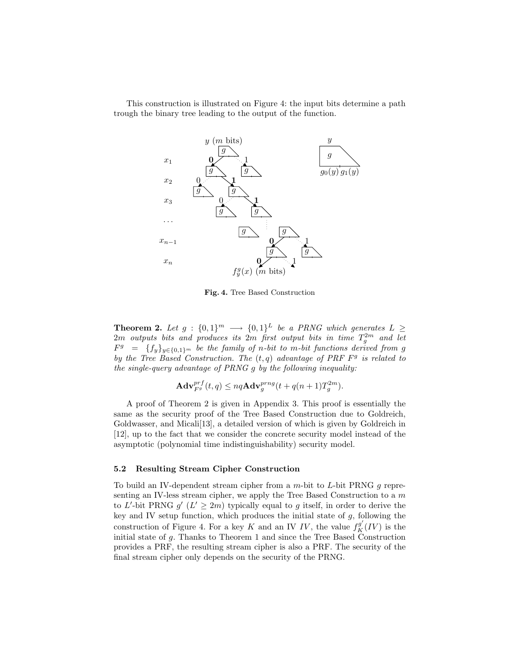

This construction is illustrated on Figure 4: the input bits determine a path trough the binary tree leading to the output of the function.

Fig. 4. Tree Based Construction

**Theorem 2.** Let  $g: \{0,1\}^m \longrightarrow \{0,1\}^L$  be a PRNG which generates  $L \geq$ 2m outputs bits and produces its 2m first output bits in time  $T_g^{2m}$  and let  $F<sup>g</sup> = {f<sub>y</sub>}<sub>y\in{0,1}^m</sub>$  be the family of n-bit to m-bit functions derived from g by the Tree Based Construction. The  $(t, q)$  advantage of PRF  $F<sup>g</sup>$  is related to the single-query advantage of PRNG g by the following inequality:

$$
\mathbf{Adv}_{F^g}^{prf}(t,q) \le nq \mathbf{Adv}_g^{prng}(t+q(n+1)T_g^{2m}).
$$

A proof of Theorem 2 is given in Appendix 3. This proof is essentially the same as the security proof of the Tree Based Construction due to Goldreich, Goldwasser, and Micali<sup>[13]</sup>, a detailed version of which is given by Goldreich in [12], up to the fact that we consider the concrete security model instead of the asymptotic (polynomial time indistinguishability) security model.

#### 5.2 Resulting Stream Cipher Construction

To build an IV-dependent stream cipher from a  $m$ -bit to  $L$ -bit PRNG  $g$  representing an IV-less stream cipher, we apply the Tree Based Construction to a  $m$ to L'-bit PRNG  $g'(L' \geq 2m)$  typically equal to g itself, in order to derive the key and IV setup function, which produces the initial state of  $g$ , following the construction of Figure 4. For a key K and an IV IV, the value  $f_K^{g'}(IV)$  is the initial state of g. Thanks to Theorem 1 and since the Tree Based Construction provides a PRF, the resulting stream cipher is also a PRF. The security of the final stream cipher only depends on the security of the PRNG.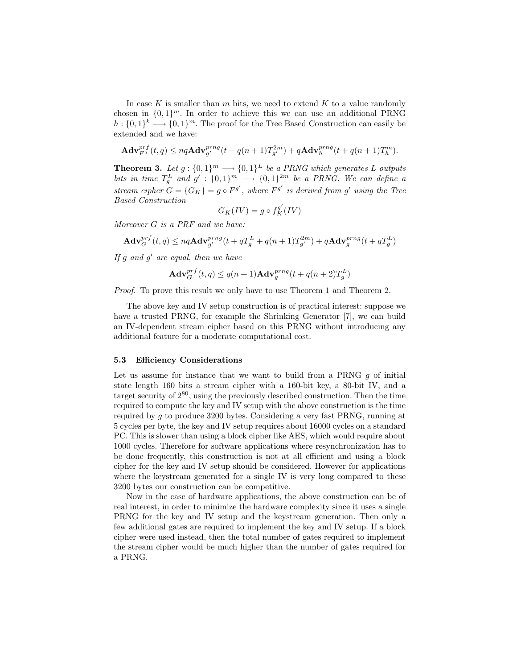In case K is smaller than  $m$  bits, we need to extend K to a value randomly chosen in  $\{0,1\}^m$ . In order to achieve this we can use an additional PRNG  $h: \{0,1\}^k \longrightarrow \{0,1\}^m$ . The proof for the Tree Based Construction can easily be extended and we have:

$$
\mathbf{Adv}_{F^g}^{prf}(t,q) \le nq\mathbf{Adv}_{g'}^{prng}(t+q(n+1)T_{g'}^{2m}) + q\mathbf{Adv}_h^{prng}(t+q(n+1)T_h^m).
$$

**Theorem 3.** Let  $g: \{0,1\}^m \longrightarrow \{0,1\}^L$  be a PRNG which generates L outputs bits in time  $T_g^L$  and  $g' : \{0,1\}^m \longrightarrow \{0,1\}^{2m}$  be a PRNG. We can define a stream cipher  $G = \{G_K\} = g \circ F^{g'}$ , where  $F^{g'}$  is derived from g' using the Tree Based Construction

$$
G_K(IV) = g \circ f_K^{g'}(IV)
$$

Moreover G is a PRF and we have:

$$
\mathbf{Adv}_{G}^{prf}(t,q) \le nq\mathbf{Adv}_{g'}^{prng}(t+qT_g^L+q(n+1)T_{g'}^{2m})+q\mathbf{Adv}_{g}^{prng}(t+qT_g^L)
$$

If  $g$  and  $g'$  are equal, then we have

$$
\mathbf{Adv}_{G}^{prf}(t,q) \le q(n+1)\mathbf{Adv}_{g}^{prng}(t+q(n+2)T_g^L)
$$

Proof. To prove this result we only have to use Theorem 1 and Theorem 2.

The above key and IV setup construction is of practical interest: suppose we have a trusted PRNG, for example the Shrinking Generator [7], we can build an IV-dependent stream cipher based on this PRNG without introducing any additional feature for a moderate computational cost.

#### 5.3 Efficiency Considerations

Let us assume for instance that we want to build from a PRNG  $g$  of initial state length 160 bits a stream cipher with a 160-bit key, a 80-bit IV, and a target security of  $2^{80}$ , using the previously described construction. Then the time required to compute the key and IV setup with the above construction is the time required by g to produce 3200 bytes. Considering a very fast PRNG, running at 5 cycles per byte, the key and IV setup requires about 16000 cycles on a standard PC. This is slower than using a block cipher like AES, which would require about 1000 cycles. Therefore for software applications where resynchronization has to be done frequently, this construction is not at all efficient and using a block cipher for the key and IV setup should be considered. However for applications where the keystream generated for a single IV is very long compared to these 3200 bytes our construction can be competitive.

Now in the case of hardware applications, the above construction can be of real interest, in order to minimize the hardware complexity since it uses a single PRNG for the key and IV setup and the keystream generation. Then only a few additional gates are required to implement the key and IV setup. If a block cipher were used instead, then the total number of gates required to implement the stream cipher would be much higher than the number of gates required for a PRNG.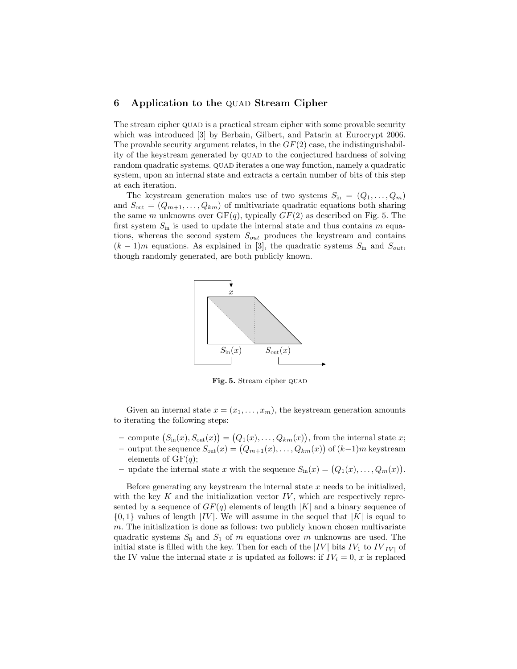## 6 Application to the QUAD Stream Cipher

The stream cipher QUAD is a practical stream cipher with some provable security which was introduced [3] by Berbain, Gilbert, and Patarin at Eurocrypt 2006. The provable security argument relates, in the  $GF(2)$  case, the indistinguishability of the keystream generated by QUAD to the conjectured hardness of solving random quadratic systems. QUAD iterates a one way function, namely a quadratic system, upon an internal state and extracts a certain number of bits of this step at each iteration.

The keystream generation makes use of two systems  $S_{\text{in}} = (Q_1, \ldots, Q_m)$ and  $S_{\text{out}} = (Q_{m+1}, \ldots, Q_{km})$  of multivariate quadratic equations both sharing the same m unknowns over  $GF(q)$ , typically  $GF(2)$  as described on Fig. 5. The first system  $S_{\text{in}}$  is used to update the internal state and thus contains m equations, whereas the second system  $S_{out}$  produces the keystream and contains  $(k-1)m$  equations. As explained in [3], the quadratic systems  $S_{\text{in}}$  and  $S_{\text{out}}$ , though randomly generated, are both publicly known.



Fig. 5. Stream cipher QUAD

Given an internal state  $x = (x_1, \ldots, x_m)$ , the keystream generation amounts to iterating the following steps:

- compute  $(S_{\text{in}}(x), S_{\text{out}}(x)) = (Q_1(x), \dots, Q_{km}(x)),$  from the internal state x;
- − output the sequence  $S_{\text{out}}(x) = (Q_{m+1}(x), \ldots, Q_{km}(x))$  of  $(k-1)m$  keystream elements of  $GF(q);$
- update the internal state x with the sequence  $S_{\text{in}}(x) = (Q_1(x), \ldots, Q_m(x)).$

Before generating any keystream the internal state  $x$  needs to be initialized, with the key  $K$  and the initialization vector  $IV$ , which are respectively represented by a sequence of  $GF(q)$  elements of length  $|K|$  and a binary sequence of  $\{0, 1\}$  values of length  $|IV|$ . We will assume in the sequel that  $|K|$  is equal to  $m$ . The initialization is done as follows: two publicly known chosen multivariate quadratic systems  $S_0$  and  $S_1$  of m equations over m unknowns are used. The initial state is filled with the key. Then for each of the  $|IV|$  bits  $IV_1$  to  $IV_{|IV|}$  of the IV value the internal state x is updated as follows: if  $IV_i = 0$ , x is replaced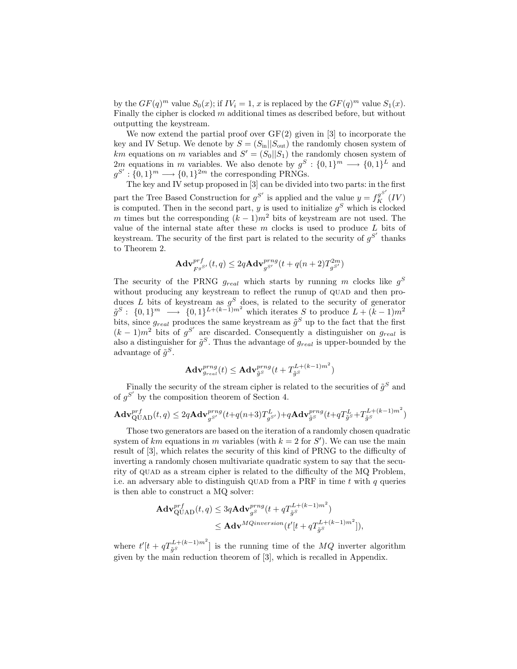by the  $GF(q)^m$  value  $S_0(x)$ ; if  $IV_i = 1$ , x is replaced by the  $GF(q)^m$  value  $S_1(x)$ . Finally the cipher is clocked m additional times as described before, but without outputting the keystream.

We now extend the partial proof over  $GF(2)$  given in [3] to incorporate the key and IV Setup. We denote by  $S = (S_{in}||S_{out})$  the randomly chosen system of km equations on m variables and  $S' = (S_0||S_1)$  the randomly chosen system of 2m equations in m variables. We also denote by  $g^S: \{0,1\}^m \longrightarrow \{0,1\}^L$  and  $g^{S'}: \{0,1\}^m \longrightarrow \{0,1\}^{2m}$  the corresponding PRNGs.

The key and IV setup proposed in [3] can be divided into two parts: in the first part the Tree Based Construction for  $g^{S'}$  is applied and the value  $y = f_K^{g^{S'}}(IV)$ is computed. Then in the second part, y is used to initialize  $g^S$  which is clocked m times but the corresponding  $(k-1)m^2$  bits of keystream are not used. The value of the internal state after these  $m$  clocks is used to produce  $L$  bits of keystream. The security of the first part is related to the security of  $g^{S'}$  thanks to Theorem 2.

$$
\mathbf{Adv}_{F^{gS'}}^{prf}(t,q) \leq 2q\mathbf{Adv}_{g^{S'}}^{prng}(t+q(n+2)T_{g^{S'}}^{2m})
$$

The security of the PRNG  $g_{real}$  which starts by running m clocks like  $g^S$ without producing any keystream to reflect the runup of QUAD and then produces L bits of keystream as  $g^S$  does, is related to the security of generator  $\tilde{g}^S: \{0,1\}^m \longrightarrow \{0,1\}^{L+(k-1)m^2}$  which iterates S to produce  $L + (k-1)m^2$ bits, since  $g_{real}$  produces the same keystream as  $\tilde{g}^S$  up to the fact that the first  $(k-1)m^2$  bits of  $g^{S'}$  are discarded. Consequently a distinguisher on  $g_{real}$  is also a distinguisher for  $\tilde{g}^S$ . Thus the advantage of  $g_{real}$  is upper-bounded by the advantage of  $\tilde{g}^S$ .

$$
\mathbf{Adv}_{g_{real}}^{prng}(t) \leq \mathbf{Adv}_{\tilde{g}^S}^{prng}(t + T_{\tilde{g}^S}^{L + (k-1)m^2})
$$

Finally the security of the stream cipher is related to the securities of  $\tilde{g}^S$  and of  $g^{S'}$  by the composition theorem of Section 4.

$$
\mathbf{Adv}_{\mathrm{QUAD}}^{prf}(t,q) \leq 2q\mathbf{Adv}_{g^{S'}}^{prng}(t+q(n+3)T_{g^{S'}}^L)+q\mathbf{Adv}_{\tilde{g}^S}^{prng}(t+qT_{\tilde{g}^S}^L+T_{\tilde{g}^S}^{L+(k-1)m^2})
$$

Those two generators are based on the iteration of a randomly chosen quadratic system of km equations in m variables (with  $k = 2$  for  $S'$ ). We can use the main result of [3], which relates the security of this kind of PRNG to the difficulty of inverting a randomly chosen multivariate quadratic system to say that the security of QUAD as a stream cipher is related to the difficulty of the MQ Problem, i.e. an adversary able to distinguish QUAD from a PRF in time t with  $q$  queries is then able to construct a MQ solver:

$$
\begin{aligned} \mathbf{Adv}_{\mathrm{QUAD}}^{prf}(t,q) &\leq 3q\mathbf{Adv}_{g^S}^{prng}(t+qT_{\tilde{g}^S}^{L+(k-1)m^2})\\ &\leq \mathbf{Adv}^{MQinversion}(t'[t+qT_{\tilde{g}^S}^{L+(k-1)m^2}]), \end{aligned}
$$

where  $t'[t + qT_{\tilde{g}S}^{L+(k-1)m^2}]$  is the running time of the  $MQ$  inverter algorithm given by the main reduction theorem of [3], which is recalled in Appendix.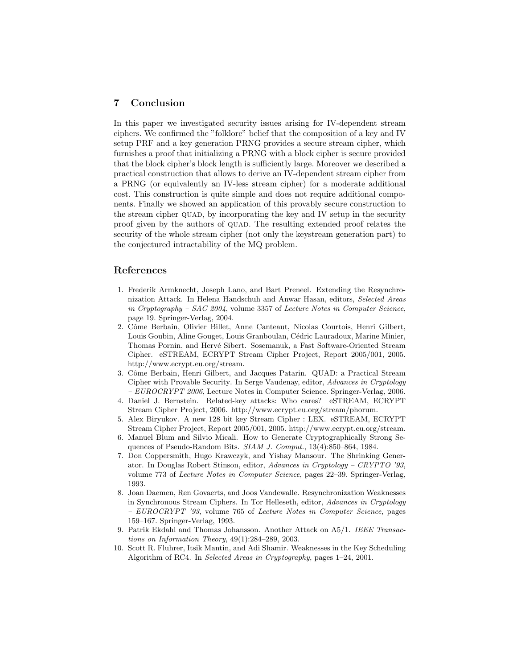# 7 Conclusion

In this paper we investigated security issues arising for IV-dependent stream ciphers. We confirmed the "folklore" belief that the composition of a key and IV setup PRF and a key generation PRNG provides a secure stream cipher, which furnishes a proof that initializing a PRNG with a block cipher is secure provided that the block cipher's block length is sufficiently large. Moreover we described a practical construction that allows to derive an IV-dependent stream cipher from a PRNG (or equivalently an IV-less stream cipher) for a moderate additional cost. This construction is quite simple and does not require additional components. Finally we showed an application of this provably secure construction to the stream cipher QUAD, by incorporating the key and IV setup in the security proof given by the authors of quad. The resulting extended proof relates the security of the whole stream cipher (not only the keystream generation part) to the conjectured intractability of the MQ problem.

## References

- 1. Frederik Armknecht, Joseph Lano, and Bart Preneel. Extending the Resynchronization Attack. In Helena Handschuh and Anwar Hasan, editors, Selected Areas in Cryptography – SAC 2004, volume 3357 of Lecture Notes in Computer Science, page 19. Springer-Verlag, 2004.
- 2. Cˆome Berbain, Olivier Billet, Anne Canteaut, Nicolas Courtois, Henri Gilbert, Louis Goubin, Aline Gouget, Louis Granboulan, Cédric Lauradoux, Marine Minier, Thomas Pornin, and Hervé Sibert. Sosemanuk, a Fast Software-Oriented Stream Cipher. eSTREAM, ECRYPT Stream Cipher Project, Report 2005/001, 2005. http://www.ecrypt.eu.org/stream.
- 3. Côme Berbain, Henri Gilbert, and Jacques Patarin. QUAD: a Practical Stream Cipher with Provable Security. In Serge Vaudenay, editor, Advances in Cryptology  $-EUROCRYPT 2006$ , Lecture Notes in Computer Science. Springer-Verlag, 2006.
- 4. Daniel J. Bernstein. Related-key attacks: Who cares? eSTREAM, ECRYPT Stream Cipher Project, 2006. http://www.ecrypt.eu.org/stream/phorum.
- 5. Alex Biryukov. A new 128 bit key Stream Cipher : LEX. eSTREAM, ECRYPT Stream Cipher Project, Report 2005/001, 2005. http://www.ecrypt.eu.org/stream.
- 6. Manuel Blum and Silvio Micali. How to Generate Cryptographically Strong Sequences of Pseudo-Random Bits. SIAM J. Comput., 13(4):850–864, 1984.
- 7. Don Coppersmith, Hugo Krawczyk, and Yishay Mansour. The Shrinking Generator. In Douglas Robert Stinson, editor, Advances in Cryptology – CRYPTO '93, volume 773 of Lecture Notes in Computer Science, pages 22–39. Springer-Verlag, 1993.
- 8. Joan Daemen, Ren Govaerts, and Joos Vandewalle. Resynchronization Weaknesses in Synchronous Stream Ciphers. In Tor Helleseth, editor, Advances in Cryptology – EUROCRYPT '93, volume 765 of Lecture Notes in Computer Science, pages 159–167. Springer-Verlag, 1993.
- 9. Patrik Ekdahl and Thomas Johansson. Another Attack on A5/1. IEEE Transactions on Information Theory, 49(1):284–289, 2003.
- 10. Scott R. Fluhrer, Itsik Mantin, and Adi Shamir. Weaknesses in the Key Scheduling Algorithm of RC4. In Selected Areas in Cryptography, pages 1–24, 2001.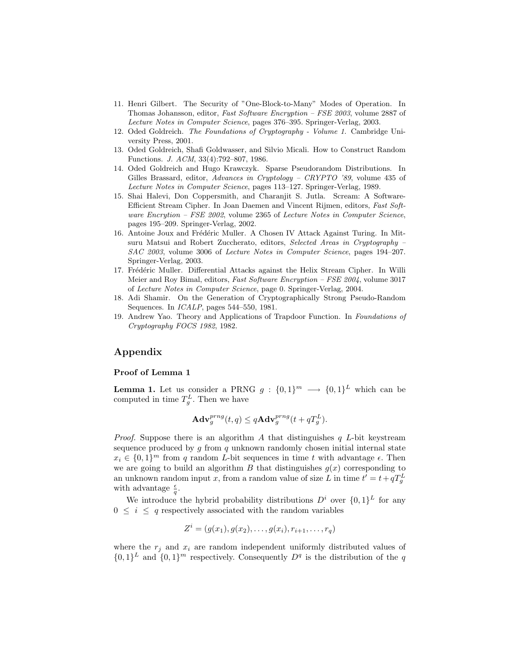- 11. Henri Gilbert. The Security of "One-Block-to-Many" Modes of Operation. In Thomas Johansson, editor, Fast Software Encryption – FSE 2003, volume 2887 of Lecture Notes in Computer Science, pages 376–395. Springer-Verlag, 2003.
- 12. Oded Goldreich. The Foundations of Cryptography Volume 1. Cambridge University Press, 2001.
- 13. Oded Goldreich, Shafi Goldwasser, and Silvio Micali. How to Construct Random Functions. J. ACM, 33(4):792–807, 1986.
- 14. Oded Goldreich and Hugo Krawczyk. Sparse Pseudorandom Distributions. In Gilles Brassard, editor, Advances in Cryptology – CRYPTO '89, volume 435 of Lecture Notes in Computer Science, pages 113–127. Springer-Verlag, 1989.
- 15. Shai Halevi, Don Coppersmith, and Charanjit S. Jutla. Scream: A Software-Efficient Stream Cipher. In Joan Daemen and Vincent Rijmen, editors, Fast Software Encrytion – FSE 2002, volume 2365 of Lecture Notes in Computer Science, pages 195–209. Springer-Verlag, 2002.
- 16. Antoine Joux and Frédéric Muller. A Chosen IV Attack Against Turing. In Mitsuru Matsui and Robert Zuccherato, editors, Selected Areas in Cryptography – SAC 2003, volume 3006 of Lecture Notes in Computer Science, pages 194–207. Springer-Verlag, 2003.
- 17. Frédéric Muller. Differential Attacks against the Helix Stream Cipher. In Willi Meier and Roy Bimal, editors, Fast Software Encryption – FSE 2004, volume 3017 of Lecture Notes in Computer Science, page 0. Springer-Verlag, 2004.
- 18. Adi Shamir. On the Generation of Cryptographically Strong Pseudo-Random Sequences. In ICALP, pages 544–550, 1981.
- 19. Andrew Yao. Theory and Applications of Trapdoor Function. In Foundations of Cryptography FOCS 1982, 1982.

# Appendix

#### Proof of Lemma 1

**Lemma 1.** Let us consider a PRNG  $g: \{0,1\}^m \longrightarrow \{0,1\}^L$  which can be computed in time  $T_g^L$ . Then we have

$$
\mathbf{Adv}_{g}^{prng}(t,q) \le q\mathbf{Adv}_{g}^{prng}(t+qT_{g}^{L}).
$$

*Proof.* Suppose there is an algorithm A that distinguishes q L-bit keystream sequence produced by  $q$  from  $q$  unknown randomly chosen initial internal state  $x_i \in \{0,1\}^m$  from q random L-bit sequences in time t with advantage  $\epsilon$ . Then we are going to build an algorithm B that distinguishes  $g(x)$  corresponding to an unknown random input x, from a random value of size L in time  $t' = t + qT_g^L$ with advantage  $\frac{\epsilon}{q}$ .

We introduce the hybrid probability distributions  $D^i$  over  $\{0,1\}^L$  for any  $0 \leq i \leq q$  respectively associated with the random variables

$$
Z^{i} = (g(x_1), g(x_2), \dots, g(x_i), r_{i+1}, \dots, r_q)
$$

where the  $r_j$  and  $x_i$  are random independent uniformly distributed values of  $\{0,1\}^L$  and  $\{0,1\}^m$  respectively. Consequently  $D^q$  is the distribution of the q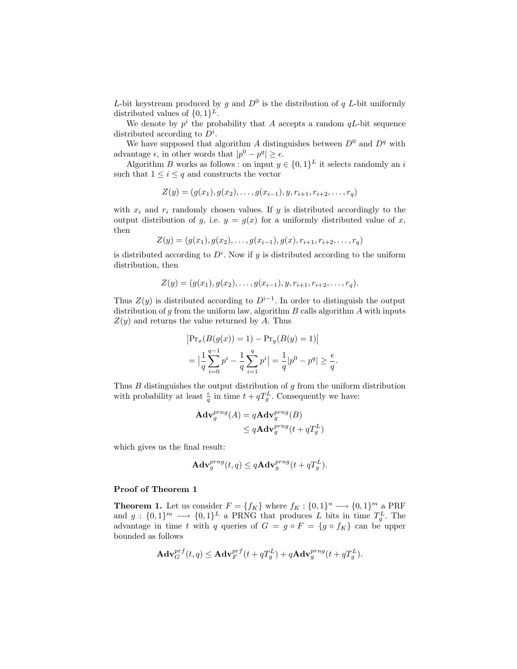L-bit keystream produced by g and  $D^0$  is the distribution of q L-bit uniformly distributed values of  $\{0,1\}^L$ .

We denote by  $p^i$  the probability that A accepts a random  $qL$ -bit sequence distributed according to  $D^i$ .

We have supposed that algorithm A distinguishes between  $D^0$  and  $D^q$  with advantage  $\epsilon$ , in other words that  $|p^0 - p^q| \geq \epsilon$ .

Algorithm B works as follows : on input  $y \in \{0,1\}^L$  it selects randomly an i such that  $1 \leq i \leq q$  and constructs the vector

$$
Z(y) = (g(x_1), g(x_2), \dots, g(x_{i-1}), y, r_{i+1}, r_{i+2}, \dots, r_q)
$$

with  $x_i$  and  $r_i$  randomly chosen values. If y is distributed accordingly to the output distribution of g, i.e.  $y = g(x)$  for a uniformly distributed value of x, then

$$
Z(y) = (g(x_1), g(x_2), \dots, g(x_{i-1}), g(x), r_{i+1}, r_{i+2}, \dots, r_q)
$$

is distributed according to  $D^i$ . Now if y is distributed according to the uniform distribution, then

$$
Z(y) = (g(x_1), g(x_2), \dots, g(x_{i-1}), y, r_{i+1}, r_{i+2}, \dots, r_q).
$$

Thus  $Z(y)$  is distributed according to  $D^{i-1}$ . In order to distinguish the output distribution of  $g$  from the uniform law, algorithm  $B$  calls algorithm  $A$  with inputs  $Z(y)$  and returns the value returned by A. Thus

$$
|\Pr_x(B(g(x)) = 1) - \Pr_y(B(y) = 1)|
$$
  
= 
$$
|\frac{1}{q} \sum_{i=0}^{q-1} p^i - \frac{1}{q} \sum_{i=1}^{q} p^i| = \frac{1}{q} |p^0 - p^q| \ge \frac{\epsilon}{q}.
$$

Thus  $B$  distinguishes the output distribution of  $g$  from the uniform distribution with probability at least  $\frac{\epsilon}{q}$  in time  $t + qT_g^L$ . Consequently we have:

$$
\mathbf{Adv}_{g}^{prng}(A) = q\mathbf{Adv}_{g}^{prng}(B)
$$

$$
\leq q\mathbf{Adv}_{g}^{prng}(t + qT_{g}^{L})
$$

which gives us the final result:

$$
\mathbf{Adv}_{g}^{prng}(t,q) \le q\mathbf{Adv}_{g}^{prng}(t+qT_g^L).
$$

#### Proof of Theorem 1

**Theorem 1.** Let us consider  $F = \{f_K\}$  where  $f_K : \{0,1\}^n \longrightarrow \{0,1\}^m$  a PRF and  $g: \{0,1\}^m \longrightarrow \{0,1\}^L$  a PRNG that produces L bits in time  $T_g^L$ . The advantage in time t with q queries of  $G = g \circ F = \{g \circ f_K\}$  can be upper bounded as follows

$$
\mathbf{Adv}_{G}^{prf}(t,q) \leq \mathbf{Adv}_{F}^{prf}(t+qT_g^L) + q\mathbf{Adv}_{g}^{prng}(t+qT_g^L).
$$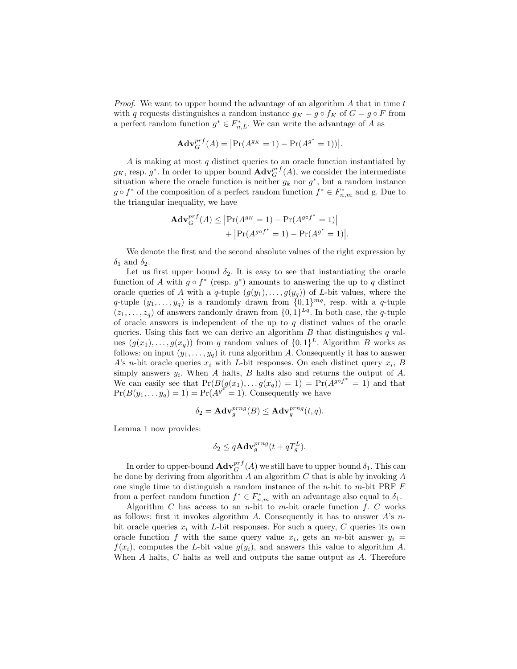*Proof.* We want to upper bound the advantage of an algorithm  $\tilde{A}$  that in time  $t$ with q requests distinguishes a random instance  $g_K = g \circ f_K$  of  $G = g \circ F$  from a perfect random function  $g^* \in F^*_{n,L}$ . We can write the advantage of A as

$$
\mathbf{Adv}_{G}^{prf}(A) = \big|\Pr(A^{g_K} = 1) - \Pr(A^{g^*} = 1))\big|.
$$

A is making at most  $q$  distinct queries to an oracle function instantiated by  $g_K$ , resp.  $g^*$ . In order to upper bound  $\mathbf{Adv}_{G}^{prf}(A)$ , we consider the intermediate situation where the oracle function is neither  $g_k$  nor  $g^*$ , but a random instance  $g \circ f^*$  of the composition of a perfect random function  $f^* \in F^*_{n,m}$  and g. Due to the triangular inequality, we have

$$
\mathbf{Adv}_{G}^{prf}(A) \le |\Pr(A^{g_K} = 1) - \Pr(A^{g \circ f^*} = 1)| + |\Pr(A^{g \circ f^*} = 1) - \Pr(A^{g^*} = 1)|.
$$

We denote the first and the second absolute values of the right expression by  $\delta_1$  and  $\delta_2$ .

Let us first upper bound  $\delta_2$ . It is easy to see that instantiating the oracle function of A with  $g \circ f^*$  (resp.  $g^*$ ) amounts to answering the up to q distinct oracle queries of A with a q-tuple  $(g(y_1),..., g(y_q))$  of L-bit values, where the q-tuple  $(y_1, \ldots, y_q)$  is a randomly drawn from  $\{0,1\}^{mq}$ , resp. with a q-tuple  $(z_1, \ldots, z_q)$  of answers randomly drawn from  $\{0, 1\}^{Lq}$ . In both case, the q-tuple of oracle answers is independent of the up to  $q$  distinct values of the oracle queries. Using this fact we can derive an algorithm  $B$  that distinguishes  $q$  values  $(g(x_1),...,g(x_q))$  from q random values of  $\{0,1\}^L$ . Algorithm B works as follows: on input  $(y_1, \ldots, y_q)$  it runs algorithm A. Consequently it has to answer A's *n*-bit oracle queries  $x_i$  with *L*-bit responses. On each distinct query  $x_i$ , *B* simply answers  $y_i$ . When A halts, B halts also and returns the output of A. We can easily see that  $Pr(B(g(x_1), \ldots g(x_q)) = 1) = Pr(A^{g \circ f^*} = 1)$  and that  $Pr(B(y_1,... y_q) = 1) = Pr(A^{g^*} = 1)$ . Consequently we have

$$
\delta_2 = \mathbf{Adv}_g^{prng}(B) \le \mathbf{Adv}_g^{prng}(t, q).
$$

Lemma 1 now provides:

$$
\delta_2 \le q\mathbf{Adv}_g^{prng}(t+qT_g^L).
$$

In order to upper-bound  $\mathbf{Adv}_{G}^{prf}(A)$  we still have to upper bound  $\delta_1.$  This can be done by deriving from algorithm  $A$  an algorithm  $C$  that is able by invoking  $A$ one single time to distinguish a random instance of the  $n$ -bit to  $m$ -bit PRF  $F$ from a perfect random function  $f^* \in F^*_{n,m}$  with an advantage also equal to  $\delta_1$ .

Algorithm  $C$  has access to an *n*-bit to *m*-bit oracle function  $f$ .  $C$  works as follows: first it invokes algorithm A. Consequently it has to answer  $A$ 's nbit oracle queries  $x_i$  with L-bit responses. For such a query, C queries its own oracle function f with the same query value  $x_i$ , gets an m-bit answer  $y_i =$  $f(x_i)$ , computes the L-bit value  $g(y_i)$ , and answers this value to algorithm A. When A halts, C halts as well and outputs the same output as A. Therefore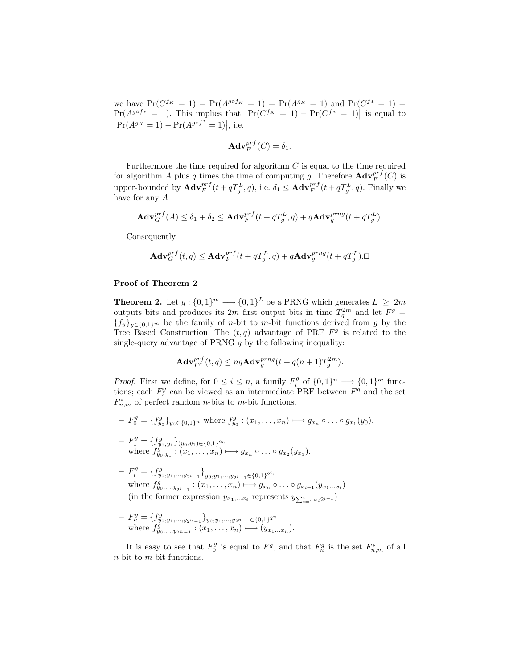we have  $Pr(C^{f_K} = 1) = Pr(A^{g \circ f_K} = 1) = Pr(A^{g_K} = 1)$  and  $Pr(C^{f*} = 1) =$  $\Pr(A^{g \circ f*} = 1)$ . This implies that  $\left| \Pr(C^{f*} = 1) - \Pr(C^{f*} = 1) \right|$  is equal to  $\left|\Pr(A^{g_K}=1)-\Pr(A^{g\circ f^*}=1)\right|,$  i.e.

$$
\mathbf{Adv}_{F}^{prf}(C) = \delta_1.
$$

Furthermore the time required for algorithm  $C$  is equal to the time required for algorithm A plus q times the time of computing g. Therefore  $\mathbf{Adv}_{F}^{prf}(C)$  is upper-bounded by  $\mathbf{Adv}_{F}^{prf}(t+qT_g^L, q)$ , i.e.  $\delta_1 \leq \mathbf{Adv}_{F}^{prf}(t+qT_g^L, q)$ . Finally we have for any A

$$
\mathbf{Adv}_{G}^{prf}(A) \leq \delta_1 + \delta_2 \leq \mathbf{Adv}_{F}^{prf}(t + qT_g^L, q) + q\mathbf{Adv}_{g}^{prng}(t + qT_g^L).
$$

Consequently

$$
\mathbf{Adv}_{G}^{prf}(t,q) \leq \mathbf{Adv}_{F}^{prf}(t+qT_g^L,q) + q\mathbf{Adv}_{g}^{prng}(t+qT_g^L).\Box
$$

### Proof of Theorem 2

**Theorem 2.** Let  $g: \{0,1\}^m \longrightarrow \{0,1\}^L$  be a PRNG which generates  $L \geq 2m$ outputs bits and produces its 2m first output bits in time  $T_g^{2m}$  and let  $F^g$  =  ${f_y}_{y\in{0,1}^m}$  be the family of *n*-bit to *m*-bit functions derived from g by the Tree Based Construction. The  $(t, q)$  advantage of PRF  $F<sup>g</sup>$  is related to the single-query advantage of PRNG  $g$  by the following inequality:

$$
\mathbf{Adv}_{F^g}^{prf}(t,q) \le nq\mathbf{Adv}_g^{prng}(t+q(n+1)T_g^{2m}).
$$

*Proof.* First we define, for  $0 \le i \le n$ , a family  $F_i^g$  of  $\{0,1\}^n \longrightarrow \{0,1\}^m$  functions; each  $F_i^g$  can be viewed as an intermediate PRF between  $F^g$  and the set  $F_{n,m}^*$  of perfect random *n*-bits to *m*-bit functions.

 $- F_0^g = \{ f_{y_0}^g \}_{y_0 \in \{0,1\}^n}$  where  $f_{y_0}^g : (x_1, \ldots, x_n) \longmapsto g_{x_n} \circ \ldots \circ g_{x_1}(y_0)$ .

- 
$$
F_1^g = \{ f_{y_0, y_1}^g \}_{(y_0, y_1) \in \{0, 1\}^{2n}}
$$
  
where  $f_{y_0, y_1}^g : (x_1, \dots, x_n) \longrightarrow g_{x_n} \circ \dots \circ g_{x_2}(y_{x_1}).$ 

- $-F_i^g = {f_{y_0,y_1,...,y_{2^i-1}}^g}$ <sub>yo,y1</sub>,...,y<sub>2<sup>i</sup>-1</sub>∈{0,1}<sup>2*in*</sup> where  $f_{y_0,...,y_{2^i-1}}^g : (x_1,...,x_n) \longmapsto g_{x_n} \circ ... \circ g_{x_{i+1}}(y_{x_1...x_i})$ (in the former expression  $y_{x_1,...x_i}$  represents  $y_{\sum_{t=1}^i x_i 2^{i-1}}$ )
- $-F_n^g = {f_{y_0,y_1,...,y_{2^n-1}}^g}$ <sub>y<sub>0</sub>,y<sub>1</sub>,...,y<sub>2</sub><sup>n</sup>-1∈{0,1}<sup>2n</sup></sub> where  $f_{y_0,...,y_{2^{n}-1}}^g : (x_1,...,x_n) \longmapsto (y_{x_1...x_n}).$

It is easy to see that  $F_0^g$  is equal to  $F^g$ , and that  $F_n^g$  is the set  $F_{n,m}^*$  of all n-bit to m-bit functions.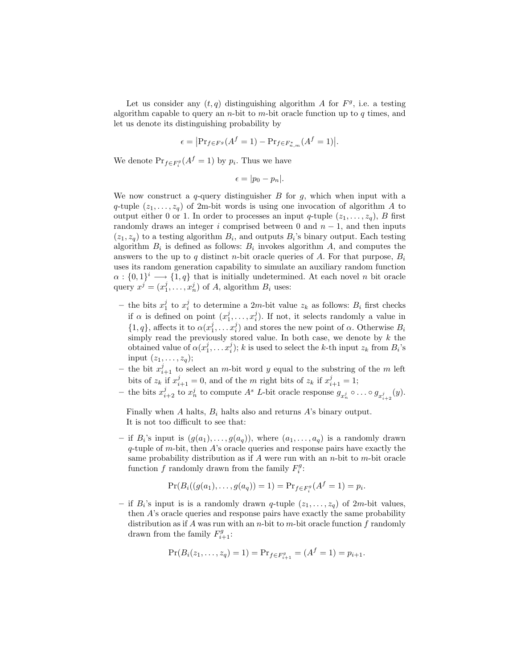Let us consider any  $(t, q)$  distinguishing algorithm A for  $F<sup>g</sup>$ , i.e. a testing algorithm capable to query an *n*-bit to *m*-bit oracle function up to  $q$  times, and let us denote its distinguishing probability by

$$
\epsilon = \left| \Pr_{f \in F^g} (A^f = 1) - \Pr_{f \in F_{n,m}^*} (A^f = 1) \right|.
$$

We denote  $Pr_{f \in F_i^g}(A^f = 1)$  by  $p_i$ . Thus we have

$$
\epsilon = |p_0 - p_n|.
$$

We now construct a  $q$ -query distinguisher  $B$  for  $q$ , which when input with a q-tuple  $(z_1, \ldots, z_q)$  of 2m-bit words is using one invocation of algorithm A to output either 0 or 1. In order to processes an input q-tuple  $(z_1, \ldots, z_q)$ , B first randomly draws an integer i comprised between 0 and  $n-1$ , and then inputs  $(z_1, z_q)$  to a testing algorithm  $B_i$ , and outputs  $B_i$ 's binary output. Each testing algorithm  $B_i$  is defined as follows:  $B_i$  invokes algorithm A, and computes the answers to the up to q distinct n-bit oracle queries of A. For that purpose,  $B_i$ uses its random generation capability to simulate an auxiliary random function  $\alpha: \{0,1\}^i \longrightarrow \{1,q\}$  that is initially undetermined. At each novel n bit oracle query  $x^j = (x_1^j, \ldots, x_n^j)$  of A, algorithm  $B_i$  uses:

- the bits  $x_1^j$  to  $x_i^j$  to determine a 2m-bit value  $z_k$  as follows:  $B_i$  first checks if  $\alpha$  is defined on point  $(x_1^j, \ldots, x_i^j)$ . If not, it selects randomly a value in  $\{1,q\}$ , affects it to  $\alpha(x_1^j, \ldots x_i^j)$  and stores the new point of  $\alpha$ . Otherwise  $B_i$ simply read the previously stored value. In both case, we denote by  $k$  the obtained value of  $\alpha(x_1^j, \ldots x_i^j)$ ; k is used to select the k-th input  $z_k$  from  $B_i$ 's input  $(z_1, \ldots, z_q);$
- the bit  $x_{i+1}^j$  to select an m-bit word y equal to the substring of the m left bits of  $z_k$  if  $x_{i+1}^j = 0$ , and of the m right bits of  $z_k$  if  $x_{i+1}^j = 1$ ;
- the bits  $x_{i+2}^j$  to  $x_n^j$  to compute  $A^s$  L-bit oracle response  $g_{x_n^j} \circ \dots \circ g_{x_{i+2}^j}(y)$ .

Finally when A halts,  $B_i$  halts also and returns A's binary output. It is not too difficult to see that:

- if  $B_i$ 's input is  $(g(a_1),...,g(a_q)),$  where  $(a_1,...,a_q)$  is a randomly drawn  $q$ -tuple of m-bit, then A's oracle queries and response pairs have exactly the same probability distribution as if  $A$  were run with an  $n$ -bit to  $m$ -bit oracle function f randomly drawn from the family  $F_i^g$ :

$$
Pr(B_i((g(a_1),...,g(a_q))=1)=Pr_{f\in F_i^g}(A^f=1)=p_i.
$$

- if  $B_i$ 's input is is a randomly drawn q-tuple  $(z_1, \ldots, z_q)$  of  $2m$ -bit values, then A's oracle queries and response pairs have exactly the same probability distribution as if A was run with an n-bit to m-bit oracle function f randomly drawn from the family  $F_{i+1}^g$ :

$$
Pr(B_i(z_1,\ldots,z_q)=1)=Pr_{f\in F_{i+1}^g}=(A^f=1)=p_{i+1}.
$$